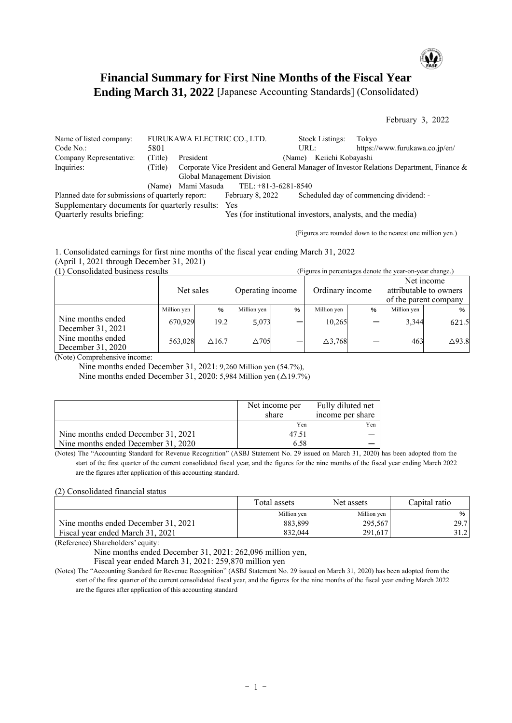

# **Financial Summary for First Nine Months of the Fiscal Year Ending March 31, 2022** [Japanese Accounting Standards] (Consolidated)

February 3, 2022

|         |                            |                                                                                                 |                  | Tokvo                                                                                                                                                                          |
|---------|----------------------------|-------------------------------------------------------------------------------------------------|------------------|--------------------------------------------------------------------------------------------------------------------------------------------------------------------------------|
| 5801    |                            |                                                                                                 |                  | https://www.furukawa.co.jp/en/                                                                                                                                                 |
| (Title) | President                  |                                                                                                 |                  |                                                                                                                                                                                |
| (Title) |                            |                                                                                                 |                  |                                                                                                                                                                                |
|         | Global Management Division |                                                                                                 |                  |                                                                                                                                                                                |
| (Name)  |                            |                                                                                                 |                  |                                                                                                                                                                                |
|         |                            |                                                                                                 |                  | Scheduled day of commencing dividend: -                                                                                                                                        |
|         |                            | FURUKAWA ELECTRIC CO., LTD.<br>Mami Masuda<br>Planned date for submissions of quarterly report: | February 8, 2022 | <b>Stock Listings:</b><br>URL:<br>(Name) Keiichi Kobayashi<br>Corporate Vice President and General Manager of Investor Relations Department, Finance &<br>TEL: +81-3-6281-8540 |

Supplementary documents for quarterly results: Yes

Yes (for institutional investors, analysts, and the media)

(Figures are rounded down to the nearest one million yen.)

1. Consolidated earnings for first nine months of the fiscal year ending March 31, 2022 (April 1, 2021 through December 31, 2021)<br>(1) Consolidated business results  $(Fionres in percentages denote the year-on-year chance.)$ 

|                                        |             |               |                  |   |                 |   |                                                               | $\mathcal{Q}$    |
|----------------------------------------|-------------|---------------|------------------|---|-----------------|---|---------------------------------------------------------------|------------------|
|                                        | Net sales   |               | Operating income |   | Ordinary income |   | Net income<br>attributable to owners<br>of the parent company |                  |
|                                        | Million yen | %             | Million yen      | % | Million yen     | % | Million yen                                                   | %                |
| Nine months ended<br>December 31, 2021 | 670.929     | 19.2          | 5,073            |   | 10,265          |   | 3,344                                                         | 621.5            |
| Nine months ended<br>December 31, 2020 | 563,028     | $\Delta$ 16.7 | $\triangle$ 705  |   | $\Delta$ 3,768  |   | 463                                                           | $\triangle$ 93.8 |

(Note) Comprehensive income:

Nine months ended December 31, 2021: 9,260 Million yen (54.7%),

Nine months ended December 31, 2020: 5,984 Million yen  $(\Delta 19.7%)$ 

|                                     | Net income per<br>share | Fully diluted net<br>income per share |
|-------------------------------------|-------------------------|---------------------------------------|
|                                     | Yen                     | Yen                                   |
| Nine months ended December 31, 2021 | 47.5                    |                                       |
| Nine months ended December 31, 2020 | 6.58                    |                                       |

(Notes) The "Accounting Standard for Revenue Recognition" (ASBJ Statement No. 29 issued on March 31, 2020) has been adopted from the start of the first quarter of the current consolidated fiscal year, and the figures for the nine months of the fiscal year ending March 2022 are the figures after application of this accounting standard.

### (2) Consolidated financial status

|                                     | Total assets | Net assets  | Capital ratio |
|-------------------------------------|--------------|-------------|---------------|
|                                     | Million yen  | Million yen | %             |
| Nine months ended December 31, 2021 | 883.899      | 295,567     | 29.7          |
| Fiscal year ended March 31, 2021    | 832.044      | 291.617     | 31.2          |

(Reference) Shareholders' equity:

Nine months ended December 31, 2021: 262,096 million yen,

Fiscal year ended March 31, 2021: 259,870 million yen

(Notes) The "Accounting Standard for Revenue Recognition" (ASBJ Statement No. 29 issued on March 31, 2020) has been adopted from the start of the first quarter of the current consolidated fiscal year, and the figures for the nine months of the fiscal year ending March 2022 are the figures after application of this accounting standard